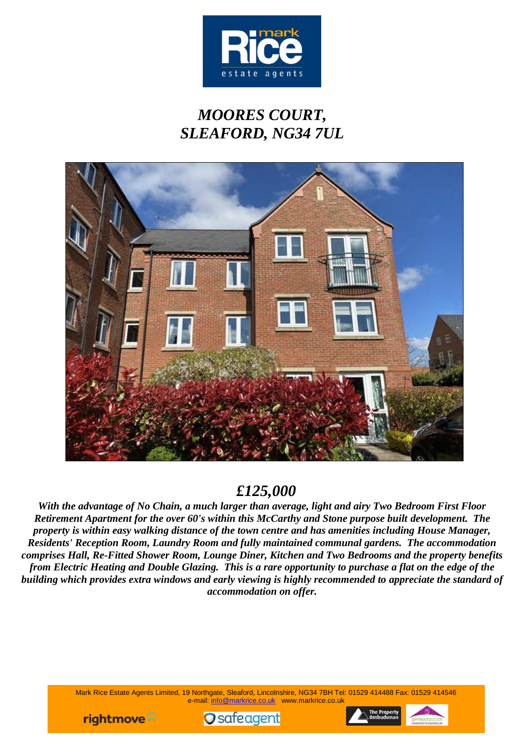

# *MOORES COURT, SLEAFORD, NG34 7UL*



## *£125,000*

*With the advantage of No Chain, a much larger than average, light and airy Two Bedroom First Floor Retirement Apartment for the over 60's within this McCarthy and Stone purpose built development. The property is within easy walking distance of the town centre and has amenities including House Manager, Residents' Reception Room, Laundry Room and fully maintained communal gardens. The accommodation comprises Hall, Re-Fitted Shower Room, Lounge Diner, Kitchen and Two Bedrooms and the property benefits from Electric Heating and Double Glazing. This is a rare opportunity to purchase a flat on the edge of the building which provides extra windows and early viewing is highly recommended to appreciate the standard of accommodation on offer.*

> Mark Rice Estate Agents Limited, 19 Northgate, Sleaford, Lincolnshire, NG34 7BH Tel: 01529 414488 Fax: 01529 414546 e-mail: info@markrice.co.uk www.markrice.co.uk





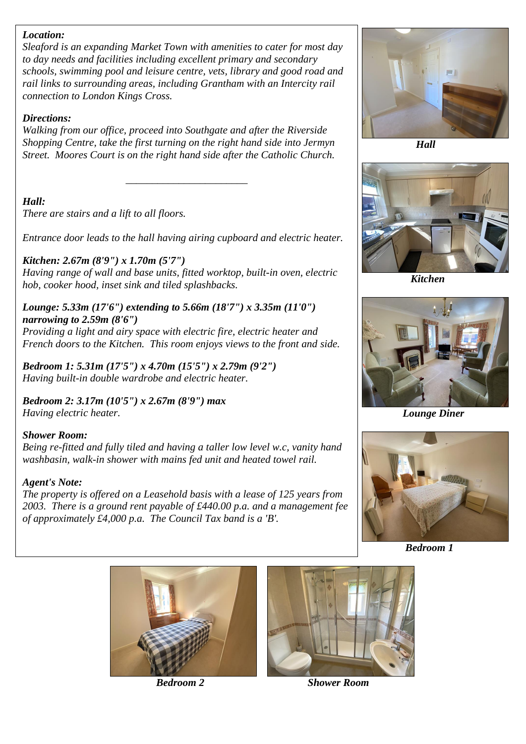#### *Location:*

*Sleaford is an expanding Market Town with amenities to cater for most day to day needs and facilities including excellent primary and secondary schools, swimming pool and leisure centre, vets, library and good road and rail links to surrounding areas, including Grantham with an Intercity rail connection to London Kings Cross.*

#### *Directions:*

*Walking from our office, proceed into Southgate and after the Riverside Shopping Centre, take the first turning on the right hand side into Jermyn Street. Moores Court is on the right hand side after the Catholic Church.*

*\_\_\_\_\_\_\_\_\_\_\_\_\_\_\_\_\_\_\_\_\_\_\_*

## *Hall:*

*There are stairs and a lift to all floors.*

*Entrance door leads to the hall having airing cupboard and electric heater.*

## *Kitchen: 2.67m (8'9") x 1.70m (5'7")*

*Having range of wall and base units, fitted worktop, built-in oven, electric hob, cooker hood, inset sink and tiled splashbacks.*

#### *Lounge: 5.33m (17'6") extending to 5.66m (18'7") x 3.35m (11'0") narrowing to 2.59m (8'6")*

*Providing a light and airy space with electric fire, electric heater and French doors to the Kitchen. This room enjoys views to the front and side.*

*Bedroom 1: 5.31m (17'5") x 4.70m (15'5") x 2.79m (9'2") Having built-in double wardrobe and electric heater.*

*Bedroom 2: 3.17m (10'5") x 2.67m (8'9") max Having electric heater.*

## *Shower Room:*

*Being re-fitted and fully tiled and having a taller low level w.c, vanity hand washbasin, walk-in shower with mains fed unit and heated towel rail.*

## *Agent's Note:*

*The property is offered on a Leasehold basis with a lease of 125 years from 2003. There is a ground rent payable of £440.00 p.a. and a management fee of approximately £4,000 p.a. The Council Tax band is a 'B'.*



 *Hall*



 *Kitchen*



 *Lounge Diner*



 *Bedroom 1*



 $\overline{\phantom{a}}$ 



 *Bedroom 2 Shower Room*